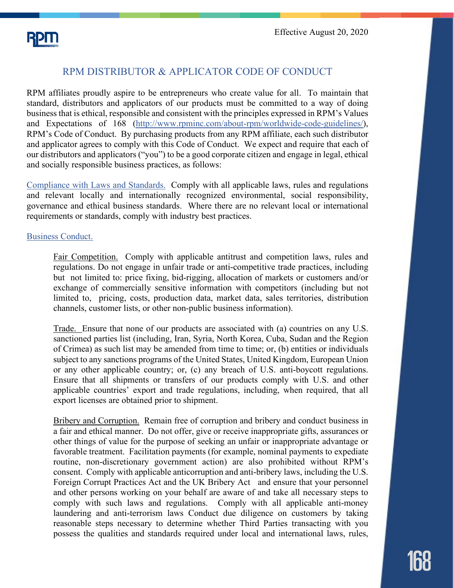# RPM DISTRIBUTOR & APPLICATOR CODE OF CONDUCT

RPM affiliates proudly aspire to be entrepreneurs who create value for all. To maintain that standard, distributors and applicators of our products must be committed to a way of doing business that is ethical, responsible and consistent with the principles expressed in RPM's Values and Expectations of 168 [\(http://www.rpminc.com/about-rpm/worldwide-code-guidelines/\)](http://www.rpminc.com/about-rpm/worldwide-code-guidelines/), RPM's Code of Conduct. By purchasing products from any RPM affiliate, each such distributor and applicator agrees to comply with this Code of Conduct. We expect and require that each of our distributors and applicators ("you") to be a good corporate citizen and engage in legal, ethical and socially responsible business practices, as follows:

Compliance with Laws and Standards. Comply with all applicable laws, rules and regulations and relevant locally and internationally recognized environmental, social responsibility, governance and ethical business standards. Where there are no relevant local or international requirements or standards, comply with industry best practices.

## Business Conduct.

Fair Competition. Comply with applicable antitrust and competition laws, rules and regulations. Do not engage in unfair trade or anti-competitive trade practices, including but not limited to: price fixing, bid-rigging, allocation of markets or customers and/or exchange of commercially sensitive information with competitors (including but not limited to, pricing, costs, production data, market data, sales territories, distribution channels, customer lists, or other non-public business information).

Trade. Ensure that none of our products are associated with (a) countries on any U.S. sanctioned parties list (including, Iran, Syria, North Korea, Cuba, Sudan and the Region of Crimea) as such list may be amended from time to time; or, (b) entities or individuals subject to any sanctions programs of the United States, United Kingdom, European Union or any other applicable country; or, (c) any breach of U.S. anti-boycott regulations. Ensure that all shipments or transfers of our products comply with U.S. and other applicable countries' export and trade regulations, including, when required, that all export licenses are obtained prior to shipment.

Bribery and Corruption. Remain free of corruption and bribery and conduct business in a fair and ethical manner. Do not offer, give or receive inappropriate gifts, assurances or other things of value for the purpose of seeking an unfair or inappropriate advantage or favorable treatment. Facilitation payments (for example, nominal payments to expediate routine, non-discretionary government action) are also prohibited without RPM's consent. Comply with applicable anticorruption and anti-bribery laws, including the U.S. Foreign Corrupt Practices Act and the UK Bribery Act and ensure that your personnel and other persons working on your behalf are aware of and take all necessary steps to comply with such laws and regulations. Comply with all applicable anti-money laundering and anti-terrorism laws Conduct due diligence on customers by taking reasonable steps necessary to determine whether Third Parties transacting with you possess the qualities and standards required under local and international laws, rules,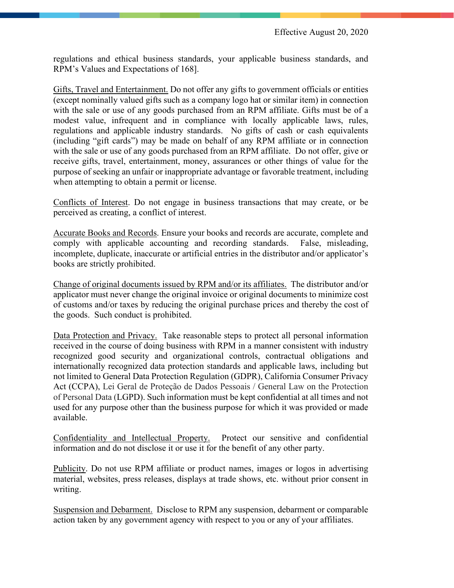regulations and ethical business standards, your applicable business standards, and RPM's Values and Expectations of 168].

Gifts, Travel and Entertainment. Do not offer any gifts to government officials or entities (except nominally valued gifts such as a company logo hat or similar item) in connection with the sale or use of any goods purchased from an RPM affiliate. Gifts must be of a modest value, infrequent and in compliance with locally applicable laws, rules, regulations and applicable industry standards. No gifts of cash or cash equivalents (including "gift cards") may be made on behalf of any RPM affiliate or in connection with the sale or use of any goods purchased from an RPM affiliate. Do not offer, give or receive gifts, travel, entertainment, money, assurances or other things of value for the purpose of seeking an unfair or inappropriate advantage or favorable treatment, including when attempting to obtain a permit or license.

Conflicts of Interest. Do not engage in business transactions that may create, or be perceived as creating, a conflict of interest.

Accurate Books and Records. Ensure your books and records are accurate, complete and comply with applicable accounting and recording standards. False, misleading, incomplete, duplicate, inaccurate or artificial entries in the distributor and/or applicator's books are strictly prohibited.

Change of original documents issued by RPM and/or its affiliates. The distributor and/or applicator must never change the original invoice or original documents to minimize cost of customs and/or taxes by reducing the original purchase prices and thereby the cost of the goods. Such conduct is prohibited.

Data Protection and Privacy. Take reasonable steps to protect all personal information received in the course of doing business with RPM in a manner consistent with industry recognized good security and organizational controls, contractual obligations and internationally recognized data protection standards and applicable laws, including but not limited to General Data Protection Regulation (GDPR), California Consumer Privacy Act (CCPA), Lei Geral de Proteção de Dados Pessoais / General Law on the Protection of Personal Data (LGPD). Such information must be kept confidential at all times and not used for any purpose other than the business purpose for which it was provided or made available.

Confidentiality and Intellectual Property. Protect our sensitive and confidential information and do not disclose it or use it for the benefit of any other party.

Publicity. Do not use RPM affiliate or product names, images or logos in advertising material, websites, press releases, displays at trade shows, etc. without prior consent in writing.

Suspension and Debarment. Disclose to RPM any suspension, debarment or comparable action taken by any government agency with respect to you or any of your affiliates.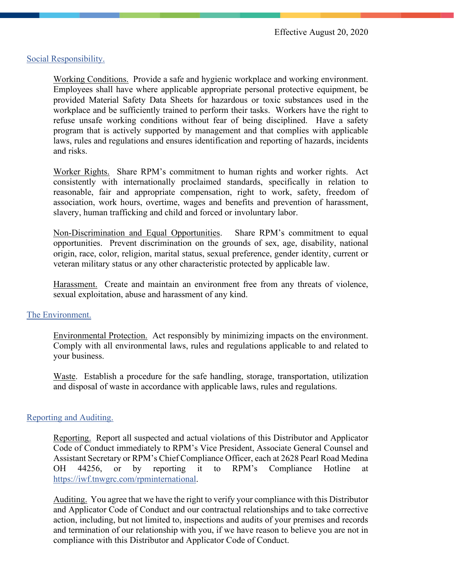## Social Responsibility.

Working Conditions. Provide a safe and hygienic workplace and working environment. Employees shall have where applicable appropriate personal protective equipment, be provided Material Safety Data Sheets for hazardous or toxic substances used in the workplace and be sufficiently trained to perform their tasks. Workers have the right to refuse unsafe working conditions without fear of being disciplined. Have a safety program that is actively supported by management and that complies with applicable laws, rules and regulations and ensures identification and reporting of hazards, incidents and risks.

Worker Rights. Share RPM's commitment to human rights and worker rights. Act consistently with internationally proclaimed standards, specifically in relation to reasonable, fair and appropriate compensation, right to work, safety, freedom of association, work hours, overtime, wages and benefits and prevention of harassment, slavery, human trafficking and child and forced or involuntary labor.

Non-Discrimination and Equal Opportunities. Share RPM's commitment to equal opportunities. Prevent discrimination on the grounds of sex, age, disability, national origin, race, color, religion, marital status, sexual preference, gender identity, current or veteran military status or any other characteristic protected by applicable law.

Harassment. Create and maintain an environment free from any threats of violence, sexual exploitation, abuse and harassment of any kind.

### The Environment.

Environmental Protection. Act responsibly by minimizing impacts on the environment. Comply with all environmental laws, rules and regulations applicable to and related to your business.

Waste. Establish a procedure for the safe handling, storage, transportation, utilization and disposal of waste in accordance with applicable laws, rules and regulations.

### Reporting and Auditing.

Reporting. Report all suspected and actual violations of this Distributor and Applicator Code of Conduct immediately to RPM's Vice President, Associate General Counsel and Assistant Secretary or RPM's Chief Compliance Officer, each at 2628 Pearl Road Medina OH 44256, or by reporting it to RPM's Compliance Hotline at [https://iwf.tnwgrc.com/rpminternational.](https://iwf.tnwgrc.com/rpminternational)

Auditing. You agree that we have the right to verify your compliance with this Distributor and Applicator Code of Conduct and our contractual relationships and to take corrective action, including, but not limited to, inspections and audits of your premises and records and termination of our relationship with you, if we have reason to believe you are not in compliance with this Distributor and Applicator Code of Conduct.